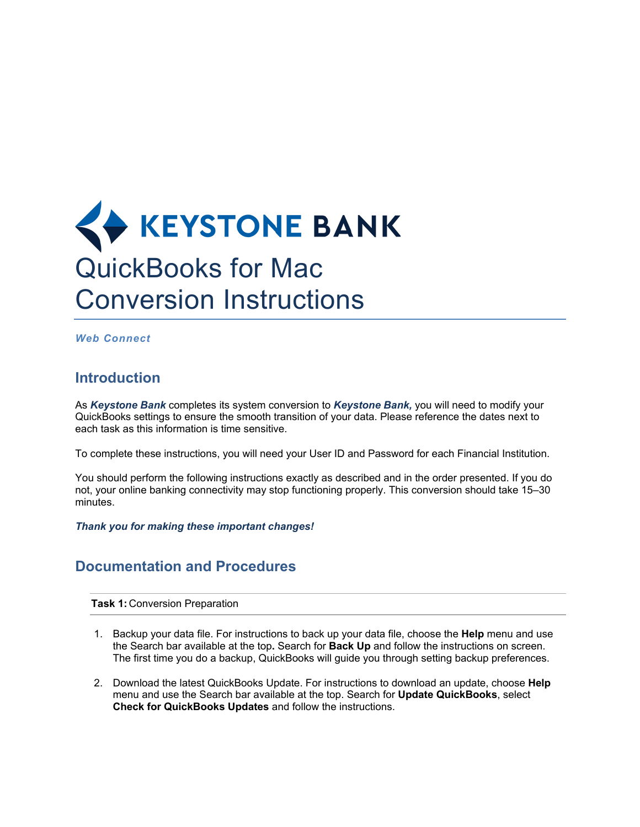## **KEYSTONE BANK** QuickBooks for Mac Conversion Instructions

*Web Connect*

## **Introduction**

As *Keystone Bank* completes its system conversion to *Keystone Bank,* you will need to modify your QuickBooks settings to ensure the smooth transition of your data. Please reference the dates next to each task as this information is time sensitive.

To complete these instructions, you will need your User ID and Password for each Financial Institution.

You should perform the following instructions exactly as described and in the order presented. If you do not, your online banking connectivity may stop functioning properly. This conversion should take 15–30 minutes.

*Thank you for making these important changes!*

## **Documentation and Procedures**

**Task 1:** Conversion Preparation

- 1. Backup your data file. For instructions to back up your data file, choose the **Help** menu and use the Search bar available at the top**.** Search for **Back Up** and follow the instructions on screen. The first time you do a backup, QuickBooks will guide you through setting backup preferences.
- 2. Download the latest QuickBooks Update. For instructions to download an update, choose **Help** menu and use the Search bar available at the top. Search for **Update QuickBooks**, select **Check for QuickBooks Updates** and follow the instructions.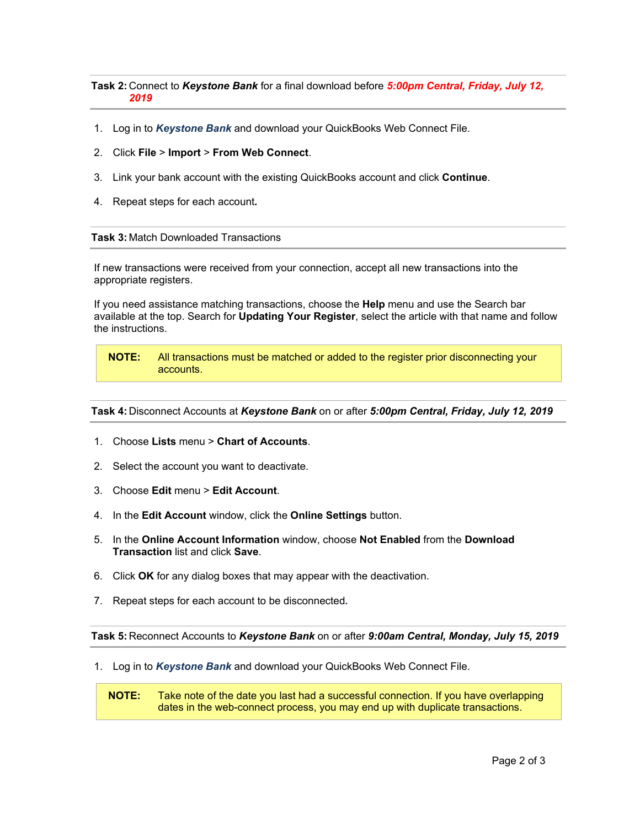**Task 2:** Connect to *Keystone Bank* for a final download before *5:00pm Central, Friday, July 12, 2019*

- 1. Log in to *Keystone Bank* and download your QuickBooks Web Connect File.
- 2. Click **File** > **Import** > **From Web Connect**.
- 3. Link your bank account with the existing QuickBooks account and click **Continue**.
- 4. Repeat steps for each account*.*

**Task 3:** Match Downloaded Transactions

If new transactions were received from your connection, accept all new transactions into the appropriate registers.

If you need assistance matching transactions, choose the **Help** menu and use the Search bar available at the top. Search for **Updating Your Register**, select the article with that name and follow the instructions.

**NOTE:** All transactions must be matched or added to the register prior disconnecting your accounts.

**Task 4:** Disconnect Accounts at *Keystone Bank* on or after *5:00pm Central, Friday, July 12, 2019*

- 1. Choose **Lists** menu > **Chart of Accounts**.
- 2. Select the account you want to deactivate.
- 3. Choose **Edit** menu > **Edit Account**.
- 4. In the **Edit Account** window, click the **Online Settings** button.
- 5. In the **Online Account Information** window, choose **Not Enabled** from the **Download Transaction** list and click **Save**.
- 6. Click **OK** for any dialog boxes that may appear with the deactivation.
- 7. Repeat steps for each account to be disconnected*.*

**Task 5:** Reconnect Accounts to *Keystone Bank* on or after *9:00am Central, Monday, July 15, 2019*

1. Log in to *Keystone Bank* and download your QuickBooks Web Connect File.

**NOTE:** Take note of the date you last had a successful connection. If you have overlapping dates in the web-connect process, you may end up with duplicate transactions.